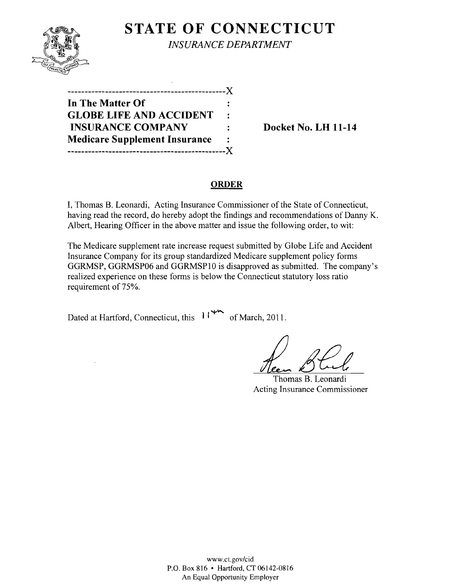

**STATE OF CONNECTICUT** *INSURANCE DEPARTMENT* 

----------------------------------------------J( **In The Matter Of GLOBE LIFE AND ACCIDENT**   $\overline{\mathbf{r}}$ **INSURANCE COMPANY** : Docket No. LH 11-14 **Medicare Supplement Insurance**   $\ddot{\cdot}$ ----------------------------------------------J(

### **ORDER**

I, Thomas B. Leonardi, Acting Insurance Commissioner of the State of Connecticut, having read the record, do hereby adopt the findings and recommendations of Danny K. Albert, Hearing Officer in the above matter and issue the following order, to wit:

The Medicare supplement rate increase request submitted by Globe Life and Accident Insurance Company for its group standardized Medicare supplement policy forms GGRMSP, GGRMSP06 and GGRMSPI0 is disapproved as submitted. The company's realized experience on these forms is below the Connecticut statutory loss ratio requirement of 75%.

Dated at Hartford, Connecticut, this  $11^{44}$  of March, 2011.

Thomas B. Leonardi Acting Insurance Commissioner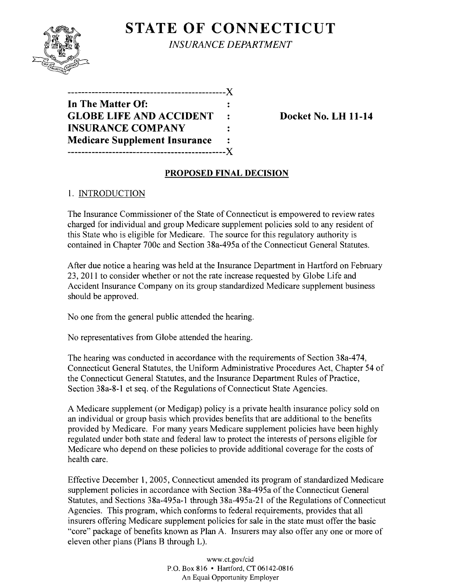

**STATE OF CONNECTICUT** *INSURANCE DEPARTMENT* 

**----------------------------------------------)( In The Matter Of: GLOBE LIFE AND ACCIDENT** : Docket No. LH 11-14 **INSURANCE COMPANY**  $\ddot{\cdot}$ **Medicare Supplement Insurance**   $\ddot{\cdot}$ **----------------------------------------------)(** 

# **PROPOSED FINAL DECISION**

# 1. INTRODUCTION

The Insurance Commissioner of the State of Connecticut is empowered to review rates charged for individual and group Medicare supplement policies sold to any resident of this State who is eligible for Medicare. The source for this regulatory authority is contained in Chapter 700c and Section 38a-495a of the Connecticut General Statutes.

After due notice a hearing was held at the Insurance Department in Hartford on February 23,2011 to consider whether or not the rate increase requested by Globe Life and Accident Insurance Company on its group standardized Medicare supplement business should be approved.

No one from the general public attended the hearing.

No representatives from Globe attended the hearing.

The hearing was conducted in accordance with the requirements of Section 38a-474, Connecticut General Statutes, the Uniform Administrative Procedures Act, Chapter 54 of the Connecticut General Statutes, and the Insurance Department Rules of Practice, Section 38a-8-1 et seq. of the Regulations of Connecticut State Agencies.

A Medicare supplement (or Medigap) policy is a private health insurance policy sold on an individual or group basis which provides benefits that are additional to the benefits provided by Medicare. For many years Medicare supplement policies have been highly regulated under both state and federal law to protect the interests of persons eligible for Medicare who depend on these policies to provide additional coverage for the costs of health care.

Effective December 1,2005, Connecticut amended its program of standardized Medicare supplement policies in accordance with Section 38a-495a of the Connecticut General Statutes, and Sections 38a-495a-1 through 38a-495a-21 of the Regulations of Connecticut Agencies. This program, which conforms to federal requirements, provides that all insurers offering Medicare supplement policies for sale in the state must offer the basic "core" package of benefits known as Plan A. Insurers may also offer anyone or more of eleven other plans (Plans B through L).

> www.CLgov/cid P.O. Box 816 • Hartford, CT06142-0816 An Equal Opportunity Employer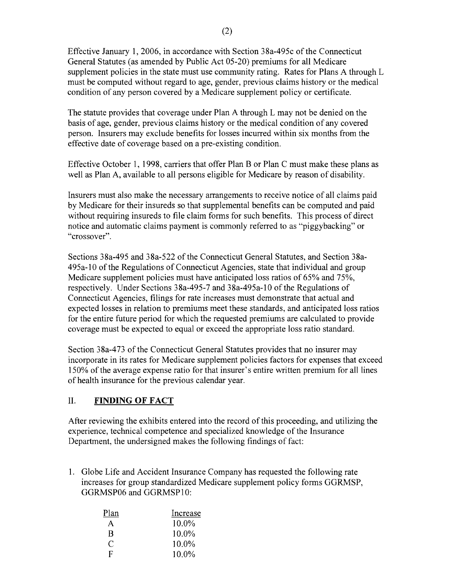Effective January 1, 2006, in accordance with Section 38a-495c of the Connecticut General Statutes (as amended by Public Act 05-20) premiums for all Medicare supplement policies in the state must use community rating. Rates for Plans A through L must be computed without regard to age, gender, previous claims history or the medical condition of any person covered by a Medicare supplement policy or certificate.

The statute provides that coverage under Plan A through L may not be denied on the basis of age, gender, previous claims history or the medical condition of any covered person. Insurers may exclude benefits for losses incurred within six months from the effective date of coverage based on a pre-existing condition.

Effective October 1, 1998, carriers that offer Plan B or Plan C must make these plans as well as Plan A, available to all persons eligible for Medicare by reason of disability.

Insurers must also make the necessary arrangements to receive notice of all claims paid by Medicare for their insureds so that supplemental benefits can be computed and paid without requiring insureds to file claim forms for such benefits. This process of direct notice and automatic claims payment is commonly referred to as "piggybacking" or "crossover".

Sections 38a-495 and 38a-522 of the Connecticut General Statutes, and Section 38a-495a-l0 ofthe Regulations of Connecticut Agencies, state that individual and group Medicare supplement policies must have anticipated loss ratios of 65% and 75%, respectively. Under Sections 38a-495-7 and 38a-495a-l0 of the Regulations of Connecticut Agencies, filings for rate increases must demonstrate that actual and expected losses in relation to premiums meet these standards, and anticipated loss ratios for the entire future period for which the requested premiums are calculated to provide coverage must be expected to equal or exceed the appropriate loss ratio standard.

Section 38a-473 of the Connecticut General Statutes provides that no insurer may incorporate in its rates for Medicare supplement policies factors for expenses that exceed 150% of the average expense ratio for that insurer's entire written premium for all lines of health insurance for the previous calendar year.

### II. **FINDING OF FACT**

After reviewing the exhibits entered into the record of this proceeding, and utilizing the experience, technical competence and specialized knowledge of the Insurance Department, the undersigned makes the following findings of fact:

1. Globe Life and Accident Insurance Company has requested the following rate increases for group standardized Medicare supplement policy forms GGRMSP, GGRMSP06 and GGRMSP10:

| Plan | Increase |
|------|----------|
| А    | $10.0\%$ |
| R    | 10.0%    |
| €    | $10.0\%$ |
| F    | 10.0%    |